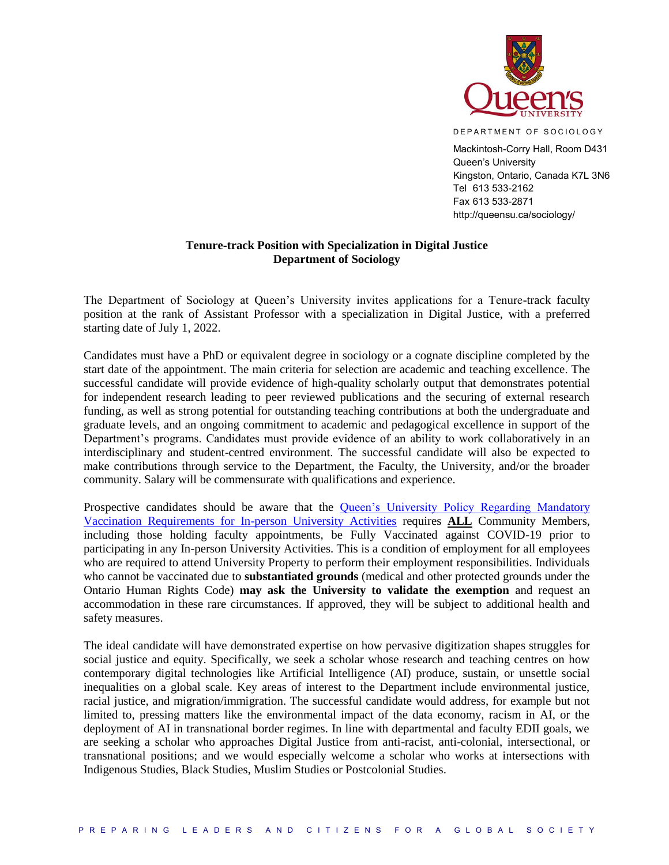

D E PAR T MENT OF SOCIOLOGY

Mackintosh-Corry Hall, Room D431 Queen's University Kingston, Ontario, Canada K7L 3N6 Tel 613 533-2162 Fax 613 533-2871 http://queensu.ca/sociology/

## **Tenure-track Position with Specialization in Digital Justice Department of Sociology**

The Department of Sociology at Queen's University invites applications for a Tenure-track faculty position at the rank of Assistant Professor with a specialization in Digital Justice, with a preferred starting date of July 1, 2022.

Candidates must have a PhD or equivalent degree in sociology or a cognate discipline completed by the start date of the appointment. The main criteria for selection are academic and teaching excellence. The successful candidate will provide evidence of high-quality scholarly output that demonstrates potential for independent research leading to peer reviewed publications and the securing of external research funding, as well as strong potential for outstanding teaching contributions at both the undergraduate and graduate levels, and an ongoing commitment to academic and pedagogical excellence in support of the Department's programs. Candidates must provide evidence of an ability to work collaboratively in an interdisciplinary and student-centred environment. The successful candidate will also be expected to make contributions through service to the Department, the Faculty, the University, and/or the broader community. Salary will be commensurate with qualifications and experience.

Prospective candidates should be aware that the [Queen's University Policy Regarding Mandatory](https://www.queensu.ca/secretariat/policies/administration-and-operations/covid-19-vaccination-requirements)  [Vaccination Requirements for In-person University Activities](https://www.queensu.ca/secretariat/policies/administration-and-operations/covid-19-vaccination-requirements) requires **ALL** Community Members, including those holding faculty appointments, be Fully Vaccinated against COVID-19 prior to participating in any In-person University Activities. This is a condition of employment for all employees who are required to attend University Property to perform their employment responsibilities. Individuals who cannot be vaccinated due to **substantiated grounds** (medical and other protected grounds under the Ontario Human Rights Code) **may ask the University to validate the exemption** and request an accommodation in these rare circumstances. If approved, they will be subject to additional health and safety measures.

The ideal candidate will have demonstrated expertise on how pervasive digitization shapes struggles for social justice and equity. Specifically, we seek a scholar whose research and teaching centres on how contemporary digital technologies like Artificial Intelligence (AI) produce, sustain, or unsettle social inequalities on a global scale. Key areas of interest to the Department include environmental justice, racial justice, and migration/immigration. The successful candidate would address, for example but not limited to, pressing matters like the environmental impact of the data economy, racism in AI, or the deployment of AI in transnational border regimes. In line with departmental and faculty EDII goals, we are seeking a scholar who approaches Digital Justice from anti-racist, anti-colonial, intersectional, or transnational positions; and we would especially welcome a scholar who works at intersections with Indigenous Studies, Black Studies, Muslim Studies or Postcolonial Studies.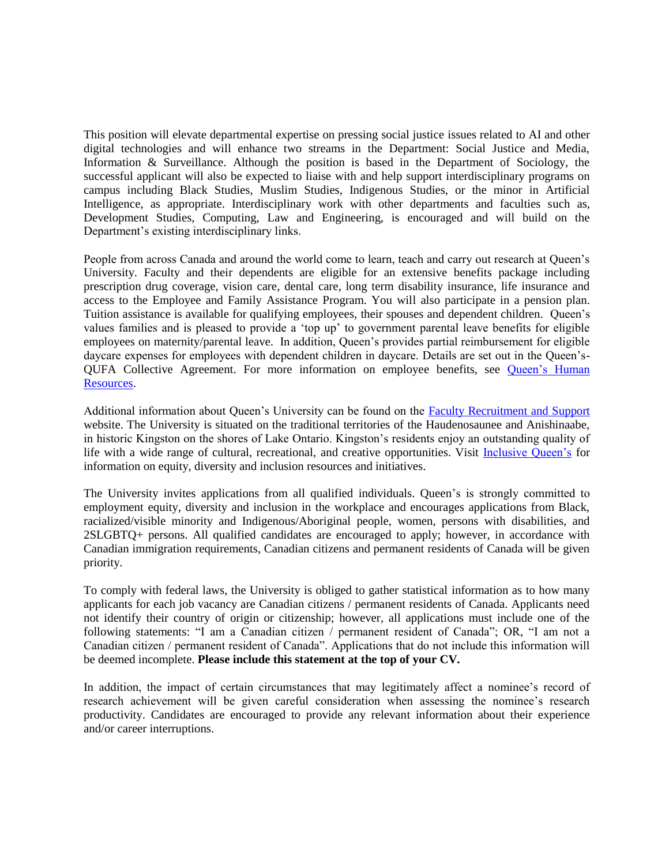This position will elevate departmental expertise on pressing social justice issues related to AI and other digital technologies and will enhance two streams in the Department: Social Justice and Media, Information & Surveillance. Although the position is based in the Department of Sociology, the successful applicant will also be expected to liaise with and help support interdisciplinary programs on campus including Black Studies, Muslim Studies, Indigenous Studies, or the minor in Artificial Intelligence, as appropriate. Interdisciplinary work with other departments and faculties such as, Development Studies, Computing, Law and Engineering, is encouraged and will build on the Department's existing interdisciplinary links.

People from across Canada and around the world come to learn, teach and carry out research at Queen's University. Faculty and their dependents are eligible for an extensive benefits package including prescription drug coverage, vision care, dental care, long term disability insurance, life insurance and access to the Employee and Family Assistance Program. You will also participate in a pension plan. Tuition assistance is available for qualifying employees, their spouses and dependent children. Queen's values families and is pleased to provide a 'top up' to government parental leave benefits for eligible employees on maternity/parental leave. In addition, Queen's provides partial reimbursement for eligible daycare expenses for employees with dependent children in daycare. Details are set out in the Queen's-QUFA Collective Agreement. For more information on employee benefits, see [Queen's Human](http://www.queensu.ca/humanresources/)  [Resources.](http://www.queensu.ca/humanresources/)

Additional information about Queen's University can be found on the [Faculty Recruitment and Support](http://www.queensu.ca/facultyrecruitment) website. The University is situated on the traditional territories of the Haudenosaunee and Anishinaabe, in historic Kingston on the shores of Lake Ontario. Kingston's residents enjoy an outstanding quality of life with a wide range of cultural, recreational, and creative opportunities. Visit [Inclusive Queen's](https://www.queensu.ca/inclusive/) for information on equity, diversity and inclusion resources and initiatives.

The University invites applications from all qualified individuals. Queen's is strongly committed to employment equity, diversity and inclusion in the workplace and encourages applications from Black, racialized/visible minority and Indigenous/Aboriginal people, women, persons with disabilities, and 2SLGBTQ+ persons. All qualified candidates are encouraged to apply; however, in accordance with Canadian immigration requirements, Canadian citizens and permanent residents of Canada will be given priority.

To comply with federal laws, the University is obliged to gather statistical information as to how many applicants for each job vacancy are Canadian citizens / permanent residents of Canada. Applicants need not identify their country of origin or citizenship; however, all applications must include one of the following statements: "I am a Canadian citizen / permanent resident of Canada"; OR, "I am not a Canadian citizen / permanent resident of Canada". Applications that do not include this information will be deemed incomplete. **Please include this statement at the top of your CV.**

In addition, the impact of certain circumstances that may legitimately affect a nominee's record of research achievement will be given careful consideration when assessing the nominee's research productivity. Candidates are encouraged to provide any relevant information about their experience and/or career interruptions.